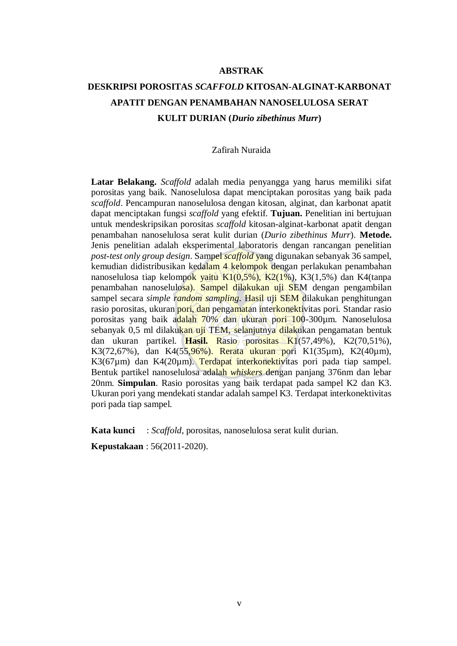### **ABSTRAK**

## **DESKRIPSI POROSITAS** *SCAFFOLD* **KITOSAN-ALGINAT-KARBONAT APATIT DENGAN PENAMBAHAN NANOSELULOSA SERAT KULIT DURIAN (***Durio zibethinus Murr***)**

### Zafirah Nuraida

**Latar Belakang.** *Scaffold* adalah media penyangga yang harus memiliki sifat porositas yang baik. Nanoselulosa dapat menciptakan porositas yang baik pada *scaffold*. Pencampuran nanoselulosa dengan kitosan, alginat, dan karbonat apatit dapat menciptakan fungsi *scaffold* yang efektif. **Tujuan.** Penelitian ini bertujuan untuk mendeskripsikan porositas *scaffold* kitosan-alginat-karbonat apatit dengan penambahan nanoselulosa serat kulit durian (*Durio zibethinus Murr*). **Metode.** Jenis penelitian adalah eksperimental laboratoris dengan rancangan penelitian *post-test only group design*. Sampel *scaffold* yang digunakan sebanyak 36 sampel, kemudian didistribusikan kedalam 4 kelompok dengan perlakukan penambahan nanoselulosa tiap kelompok yaitu  $K1(0,5\%)$ ,  $K2(1\%)$ , K3 $(1,5\%)$  dan K4 $(1,5\%)$ penambahan nanoselulosa). Sampel dilakukan uji SEM dengan pengambilan sampel secara *simple random sampling*. Hasil uji SEM dilakukan penghitungan rasio porositas, ukuran pori, dan pengamatan interkonektivitas pori. Standar rasio porositas yang baik adalah 70% dan ukuran pori 100-300µm. Nanoselulosa sebanyak 0,5 ml dilakukan uji TEM, selanjutnya dilakukan pengamatan bentuk dan ukuran partikel. **Hasil.** Rasio porositas K1(57,49%), K2(70,51%), K3(72,67%), dan K4(55,96%), Rerata ukuran pori K1(35µm), K2(40µm), K3(67µm) dan K4(20µm). Terdapat interkonektivitas pori pada tiap sampel. Bentuk partikel nanoselulosa adalah *whiskers* dengan panjang 376nm dan lebar 20nm. **Simpulan**. Rasio porositas yang baik terdapat pada sampel K2 dan K3. Ukuran pori yang mendekati standar adalah sampel K3. Terdapat interkonektivitas pori pada tiap sampel.

**Kata kunci** : *Scaffold*, porositas, nanoselulosa serat kulit durian.

**Kepustakaan** : 56(2011-2020).